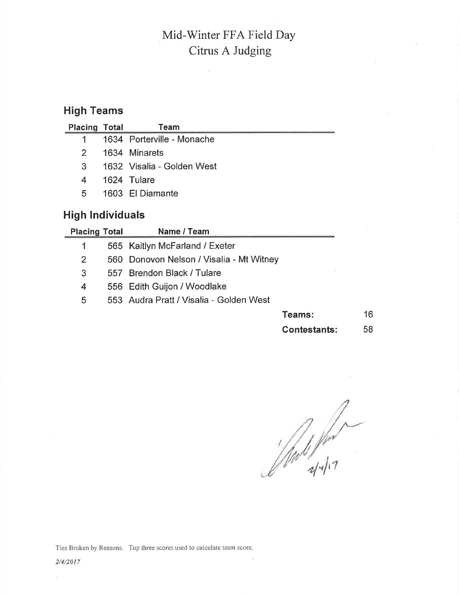## High Teams

| <b>Placing Total</b> | Team                       |
|----------------------|----------------------------|
| $1 \quad$            | 1634 Porterville - Monache |
| 2.                   | 1634 Minarets              |
| $\mathcal{S}$        | 1632 Visalia - Golden West |
| 4                    | 1624 Tulare                |
| 5.                   | 1603 El Diamante           |
|                      |                            |

 $\bar{a}$ 

## High Individuals

| <b>Placing Total</b> | Name / Team                              |        |    |
|----------------------|------------------------------------------|--------|----|
|                      | 565 Kaitlyn McFarland / Exeter           |        |    |
| $\overline{2}$       | 560 Donovon Nelson / Visalia - Mt Witney |        |    |
| 3                    | 557 Brendon Black / Tulare               |        |    |
| 4                    | 556 Edith Guijon / Woodlake              |        |    |
| 5                    | 553 Audra Pratt / Visalia - Golden West  |        |    |
|                      |                                          | Teams: | 16 |
|                      |                                          |        |    |

Contestants: 

 $\sqrt[2]{a}$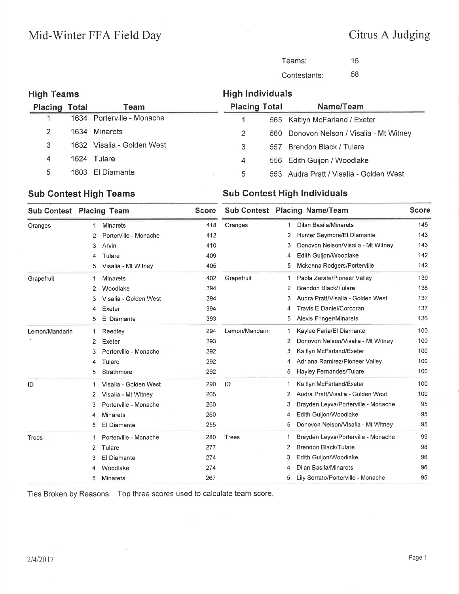| Teams:       | 16 |
|--------------|----|
| Contestants: | 58 |

| <b>High Teams</b>    |                            | <b>High Individuals</b> |     |                                          |
|----------------------|----------------------------|-------------------------|-----|------------------------------------------|
| <b>Placing Total</b> | Team                       | <b>Placing Total</b>    |     | Name/Team                                |
|                      | 1634 Porterville - Monache |                         |     | 565 Kaitlyn McFarland / Exeter           |
| 2                    | 1634 Minarets              | 2                       |     | 560 Donovon Nelson / Visalia - Mt Witney |
| 3                    | 1632 Visalia - Golden West | 3                       | 557 | Brendon Black / Tulare                   |
| 4                    | 1624 Tulare                | 4                       |     | 556 Edith Guijon / Woodlake              |
| 5                    | 1603 El Diamante           | 5                       |     | 553 Audra Pratt / Visalia - Golden West  |

#### Sub Contest High Teams Sub Contest High Individuals

|                | <b>Sub Contest Placing Team</b> | <b>Score</b> |                |   | <b>Sub Contest Placing Name/Team</b> | <b>Score</b> |
|----------------|---------------------------------|--------------|----------------|---|--------------------------------------|--------------|
| Oranges        | <b>Minarets</b><br>1            | 418          | Oranges        | 1 | <b>Dilan Basila/Minarets</b>         | 145          |
|                | Porterville - Monache<br>2      | 412          |                | 2 | Hunter Seymore/El Diamante           | 143          |
|                | Arvin<br>3                      | 410          |                | 3 | Donovon Nelson/Visalia - Mt Witney   | 143          |
|                | Tulare<br>4                     | 409          |                | 4 | Edith Guijon/Woodlake                | 142          |
|                | Visalia - Mt Witney<br>5        | 405          |                | 5 | Mckenna Rodgers/Porterville          | 142          |
| Grapefruit     | <b>Minarets</b><br>1            | 402          | Grapefruit     | 1 | Paola Zarate/Pioneer Valley          | 139          |
|                | Woodlake<br>2                   | 394          |                | 2 | Brendon Black/Tulare                 | 138          |
|                | Visalia - Golden West<br>3      | 394          |                | 3 | Audra Pratt/Visalia - Golden West    | 137          |
|                | Exeter<br>4                     | 394          |                | 4 | <b>Travis E Daniel/Corcoran</b>      | 137          |
|                | El Diamante<br>5                | 393          |                | 5 | <b>Alexis Fringer/Minarets</b>       | 136          |
| Lemon/Mandarin | Reedley<br>1                    | 294          | Lemon/Mandarin | 1 | Kaylee Faria/El Diamante             | 100          |
|                | Exeter<br>$\overline{2}$        | 293          |                | 2 | Donovon Nelson/Visalia - Mt Witney   | 100          |
|                | Porterville - Monache<br>3      | 292          |                | 3 | Kaitlyn McFarland/Exeter             | 100          |
|                | Tulare<br>4                     | 292          |                | 4 | Adriana Ramirez/Pioneer Valley       | 100          |
|                | Strathmore<br>5                 | 292          |                | 5 | Hayley Fernandes/Tulare              | 100          |
| ID             | Visalia - Golden West<br>1      | 290          | ID             | 1 | Kaitlyn McFarland/Exeter             | 100          |
|                | Visalia - Mt Witney<br>2        | 265          |                | 2 | Audra Pratt/Visalia - Golden West    | 100          |
|                | Porterville - Monache<br>3      | 260          |                | 3 | Brayden Leyva/Porterville - Monache  | 95           |
|                | <b>Minarets</b><br>4            | 260          |                | 4 | Edith Guijon/Woodlake                | 95           |
|                | El Diamante<br>5                | 255          |                | 5 | Donovon Nelson/Visalia - Mt Witney   | 95           |
| Trees          | Porterville - Monache<br>1      | 280          | <b>Trees</b>   | 1 | Brayden Leyva/Porterville - Monache  | 99           |
|                | 2<br>Tulare                     | 277          |                | 2 | Brendon Black/Tulare                 | 98           |
|                | El Diamante<br>3                | 274          |                | 3 | Edith Guijon/Woodlake                | 96           |
|                | Woodlake<br>4                   | 274          |                | 4 | Dilan Basila/Minarets                | 96           |
|                | Minarets<br>5                   | 267          |                | 5 | Lily Serrato/Porterville - Monache   | 95           |
|                |                                 |              |                |   |                                      |              |

Ties Broken by Reasons. Top three scores used to calculate team score

 $\lambda$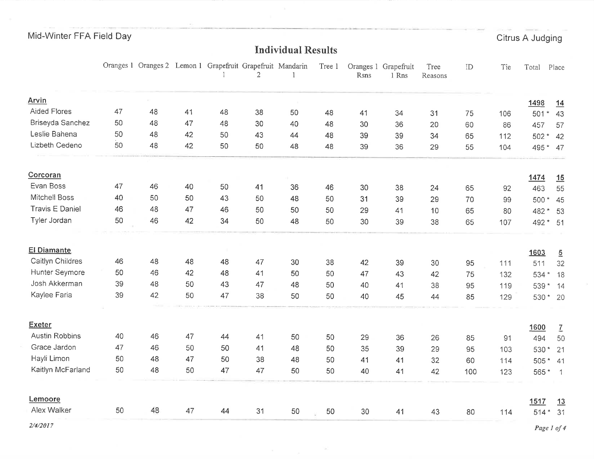Citrus A Judging

# **Individual Results**

|                       |    | Oranges 1 Oranges 2 Lemon 1 Grapefruit Grapefruit Mandarin |    |    | 2  | 1  | Tree 1 | Rsns | Oranges 1 Grapefruit<br>1 Rns | Tree<br>Reasons | ID  | Tie | Total       | Place           |
|-----------------------|----|------------------------------------------------------------|----|----|----|----|--------|------|-------------------------------|-----------------|-----|-----|-------------|-----------------|
| Arvin                 |    |                                                            |    |    |    |    |        |      |                               |                 |     |     | 1498        | 14              |
| <b>Aided Flores</b>   | 47 | 48                                                         | 41 | 48 | 38 | 50 | 48     | 41   | 34                            | 31              | 75  | 106 | 501         | 43              |
| Briseyda Sanchez      | 50 | 48                                                         | 47 | 48 | 30 | 40 | 48     | 30   | 36                            | 20              | 60  | 86  | 457         | 57              |
| Leslie Bahena         | 50 | 48                                                         | 42 | 50 | 43 | 44 | 48     | 39   | 39                            | 34              | 65  | 112 | $502*$      | 42              |
| Lizbeth Cedeno        | 50 | 48                                                         | 42 | 50 | 50 | 48 | 48     | 39   | 36                            | 29              | 55  | 104 | 495 * 47    |                 |
| Corcoran              |    |                                                            |    |    |    |    |        |      |                               |                 |     |     | 1474        | 15              |
| Evan Boss             | 47 | 46                                                         | 40 | 50 | 41 | 36 | 46     | 30   | 38                            | 24              | 65  | 92  | 463         | 55              |
| Mitchell Boss         | 40 | 50                                                         | 50 | 43 | 50 | 48 | 50     | 31   | 39                            | 29              | 70  | 99  | 500 *       | 45              |
| Travis E Daniel       | 46 | 48                                                         | 47 | 46 | 50 | 50 | 50     | 29   | 41                            | 10              | 65  | 80  | 482 *       | 53              |
| Tyler Jordan          | 50 | 46                                                         | 42 | 34 | 50 | 48 | 50     | 30   | 39                            | 38              | 65  | 107 | 492 * 51    |                 |
| <b>El Diamante</b>    |    |                                                            |    |    |    |    |        |      |                               |                 |     |     | 1603        | $\overline{2}$  |
| Caitlyn Childres      | 46 | 48                                                         | 48 | 48 | 47 | 30 | 38     | 42   | 39                            | 30              | 95  | 111 | 511         | 32              |
| Hunter Seymore        | 50 | 46                                                         | 42 | 48 | 41 | 50 | 50     | 47   | 43                            | 42              | 75  | 132 | 534 *       | 18              |
| Josh Akkerman         | 39 | 48                                                         | 50 | 43 | 47 | 48 | 50     | 40   | 41                            | 38              | 95  | 119 | 539         | $*$ 14          |
| Kaylee Faria          | 39 | 42                                                         | 50 | 47 | 38 | 50 | 50     | 40   | 45                            | 44              | 85  | 129 | 530 * 20    |                 |
| <b>Exeter</b>         |    |                                                            |    |    |    |    |        |      |                               |                 |     |     | 1600        | $\underline{7}$ |
| <b>Austin Robbins</b> | 40 | 46                                                         | 47 | 44 | 41 | 50 | 50     | 29   | 36                            | 26              | 85  | 91  | 494         | 50              |
| Grace Jardon          | 47 | 46                                                         | 50 | 50 | 41 | 48 | 50     | 35   | 39                            | 29              | 95  | 103 | 530*        | 21              |
| Hayli Limon           | 50 | 48                                                         | 47 | 50 | 38 | 48 | 50     | 41   | 41                            | 32              | 60  | 114 | 505 * 41    |                 |
| Kaitlyn McFarland     | 50 | 48                                                         | 50 | 47 | 47 | 50 | 50     | 40   | 41                            | 42              | 100 | 123 | $565*1$     |                 |
| Lemoore               |    |                                                            |    |    |    |    |        |      |                               |                 |     |     | 1517        | 13              |
| Alex Walker           | 50 | 48                                                         | 47 | 44 | 31 | 50 | 50     | 30   | 41                            | 43              | 80  | 114 | 514 * 31    |                 |
| 2/4/2017              |    |                                                            |    |    |    |    |        |      |                               |                 |     |     | Page 1 of 4 |                 |

 $\sim$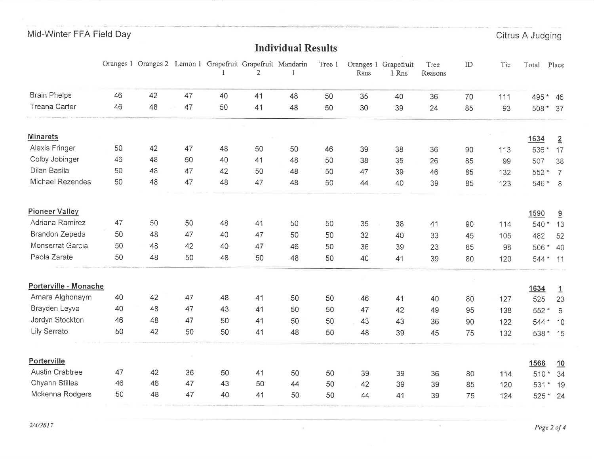Citrus A Judging

## **Individual Results**

|                        |    |    |    | Oranges 1 Oranges 2 Lemon 1 Grapefruit Grapefruit Mandarin | $\overline{2}$ |    | Tree 1 | Rsns | Oranges 1 Grapefruit<br>1 Rns | Tree<br>Reasons | ID | Tie | Total          | Place                |
|------------------------|----|----|----|------------------------------------------------------------|----------------|----|--------|------|-------------------------------|-----------------|----|-----|----------------|----------------------|
| <b>Brain Phelps</b>    | 46 | 42 | 47 | 40                                                         | 41             | 48 | 50     | 35   | 40                            | 36              | 70 | 111 | 495 *          | 46                   |
| <b>Treana Carter</b>   | 46 | 48 | 47 | 50                                                         | 41             | 48 | 50     | 30   | 39                            | 24              | 85 | 93  | 508 *          | 37                   |
|                        |    |    |    |                                                            |                |    |        |      |                               |                 |    |     |                |                      |
| <b>Minarets</b>        |    |    |    |                                                            |                |    |        |      |                               |                 |    |     | 1634           | $\overline{2}$       |
| Alexis Fringer         | 50 | 42 | 47 | 48                                                         | 50             | 50 | 46     | 39   | 38                            | 36              | 90 | 113 | 536 *          | 17                   |
| Colby Jobinger         | 46 | 48 | 50 | 40                                                         | 41             | 48 | 50     | 38   | 35                            | 26              | 85 | 99  | 507            | 38                   |
| Dilan Basila           | 50 | 48 | 47 | 42                                                         | 50             | 48 | 50     | 47   | 39                            | 46              | 85 | 132 | 552 *          | $\overline{7}$       |
| Michael Rezendes       | 50 | 48 | 47 | 48                                                         | 47             | 48 | 50     | 44   | 40                            | 39              | 85 | 123 | 546 *          | 8                    |
| <b>Pioneer Valley</b>  |    |    |    |                                                            |                |    |        |      |                               |                 |    |     | 1590           | $\overline{a}$       |
| Adriana Ramirez        | 47 | 50 | 50 | 48                                                         | 41             | 50 | 50     | 35   | 38                            | 41              | 90 | 114 | 540 *          | 13                   |
| Brandon Zepeda         | 50 | 48 | 47 | 40                                                         | 47             | 50 | 50     | 32   | 40                            | 33              | 45 | 105 | 482            | 52                   |
| Monserrat Garcia       | 50 | 48 | 42 | 40                                                         | 47             | 46 | 50     | 36   | 39                            | 23              | 85 | 98  | 506<br>$\star$ | 40                   |
| Paola Zarate           | 50 | 48 | 50 | 48                                                         | 50             | 48 | 50     | 40   | 41                            | 39              | 80 | 120 | 544 * 11       |                      |
| Porterville - Monache  |    |    |    |                                                            |                |    |        |      |                               |                 |    |     |                |                      |
| Amara Alghonaym        | 40 | 42 | 47 | 48                                                         | 41             | 50 | 50     | 46   | 41                            | 40              | 80 | 127 | 1634<br>525    | $\overline{1}$<br>23 |
| Brayden Leyva          | 40 | 48 | 47 | 43                                                         | 41             | 50 | 50     | 47   | 42                            | 49              | 95 | 138 | 552 *          | 6                    |
| Jordyn Stockton        | 46 | 48 | 47 | 50                                                         | 41             | 50 | 50     | 43   | 43                            | 36              | 90 | 122 | 544 * 10       |                      |
| Lily Serrato           | 50 | 42 | 50 | 50                                                         | 41             | 48 | 50     | 48   | 39                            | 45              | 75 | 132 | 538 * 15       |                      |
| Porterville            |    |    |    |                                                            |                |    |        |      |                               |                 |    |     | 1566           | 10                   |
| <b>Austin Crabtree</b> | 47 | 42 | 36 | 50                                                         | 41             | 50 | 50     | 39   | 39                            | 36              | 80 | 114 | $510*$         | 34                   |
| Chyann Stilles         | 46 | 46 | 47 | 43                                                         | 50             | 44 | 50     | 42   | 39                            | 39              | 85 | 120 | 531            | 19                   |
| Mckenna Rodgers        | 50 | 48 | 47 | 40                                                         | 41             | 50 | 50     | 44   | 41                            | 39              | 75 | 124 | 525 * 24       |                      |

 $\overline{\mathcal{D}}$ 

 $2/4/2017$ 

 $\sim$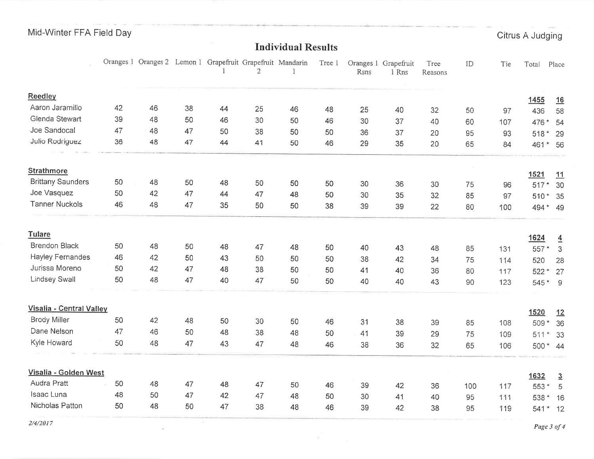Citrus A Judging

## **Individual Results**

 $\mathcal{L}$ 

 $\sim 10^{-3}$ 

 $\geq$ 

|                          |    | Oranges 1 Oranges 2 |    | Lemon 1 Grapefruit Grapefruit Mandarin | $\overline{2}$ |    | Tree 1 | Rsns | Oranges 1 Grapefruit<br>1 Rns | Tree<br>Reasons | ID  | Tie | Total          | Place               |
|--------------------------|----|---------------------|----|----------------------------------------|----------------|----|--------|------|-------------------------------|-----------------|-----|-----|----------------|---------------------|
| Reedley                  |    |                     |    |                                        |                |    |        |      |                               |                 |     |     | 1455           | 16                  |
| Aaron Jaramillo          | 42 | 46                  | 38 | 44                                     | 25             | 46 | 48     | 25   | 40                            | 32              | 50  | 97  | 436            | 58                  |
| Glenda Stewart           | 39 | 48                  | 50 | 46                                     | 30             | 50 | 46     | 30   | 37                            | 40              | 60  | 107 | 476 *          | 54                  |
| Joe Sandocal             | 47 | 48                  | 47 | 50                                     | 38             | 50 | 50     | 36   | 37                            | 20              | 95  | 93  | 518 * 29       |                     |
| Julio Rodriguez          | 36 | 48                  | 47 | 44                                     | 41             | 50 | 46     | 29   | 35                            | 20              | 65  | 84  | 461            | $*$ 56              |
| <b>Strathmore</b>        |    |                     |    |                                        |                |    |        |      |                               |                 |     |     | 1521           |                     |
| <b>Brittany Saunders</b> | 50 | 48                  | 50 | 48                                     | 50             | 50 | 50     | 30   | 36                            | 30              | 75  | 96  | $517*$         | 11<br>30            |
| Joe Vasquez              | 50 | 42                  | 47 | 44                                     | 47             | 48 | 50     | 30   | 35                            | 32              | 85  | 97  | 510 * 35       |                     |
| <b>Tanner Nuckols</b>    | 46 | 48                  | 47 | 35                                     | 50             | 50 | 38     | 39   | 39                            | 22              | 80  | 100 | 494 * 49       |                     |
| Tulare                   |    |                     |    |                                        |                |    |        |      |                               |                 |     |     | 1624           | $\overline{4}$      |
| <b>Brendon Black</b>     | 50 | 48                  | 50 | 48                                     | 47             | 48 | 50     | 40   | 43                            | 48              | 85  | 131 | 557 *          | $\mathcal{S}$       |
| <b>Hayley Fernandes</b>  | 46 | 42                  | 50 | 43                                     | 50             | 50 | 50     | 38   | 42                            | 34              | 75  | 114 | 520            | 28                  |
| Jurissa Moreno           | 50 | 42                  | 47 | 48                                     | 38             | 50 | 50     | 41   | 40                            | 36              | 80  | 117 | 522 *          | 27                  |
| <b>Lindsey Swall</b>     | 50 | 48                  | 47 | 40                                     | 47             | 50 | 50     | 40   | 40                            | 43              | 90  | 123 | 545 * 9        |                     |
| Visalia - Central Valley |    |                     |    |                                        |                |    |        |      |                               |                 |     |     | 1520           | 12                  |
| <b>Brody Miller</b>      | 50 | 42                  | 48 | 50                                     | 30             | 50 | 46     | 31   | 38                            | 39              | 85  | 108 | 509*           | 36                  |
| Dane Nelson              | 47 | 46                  | 50 | 48                                     | 38             | 48 | 50     | 41   | 39                            | 29              | 75  | 109 | 511<br>$\star$ | 33                  |
| Kyle Howard              | 50 | 48                  | 47 | 43                                     | 47             | 48 | 46     | 38   | 36                            | 32              | 65  | 106 | 500 * 44       |                     |
| Visalia - Golden West    |    |                     |    |                                        |                |    |        |      |                               |                 |     |     | 1632           |                     |
| Audra Pratt              | 50 | 48                  | 47 | 48                                     | 47             | 50 | 46     | 39   | 42                            | 36              | 100 | 117 | 553 *          | $\overline{3}$<br>5 |
| Isaac Luna               | 48 | 50                  | 47 | 42                                     | 47             | 48 | 50     | 30   | 41                            | 40              | 95  | 111 | 538 * 16       |                     |
| Nicholas Patton          | 50 | 48                  | 50 | 47                                     | 38             | 48 | 46     | 39   | 42                            | 38              | 95  | 119 | 541            | $*$ 12              |

 $\alpha'$ 

 $2/4/2017$ 

Page 3 of 4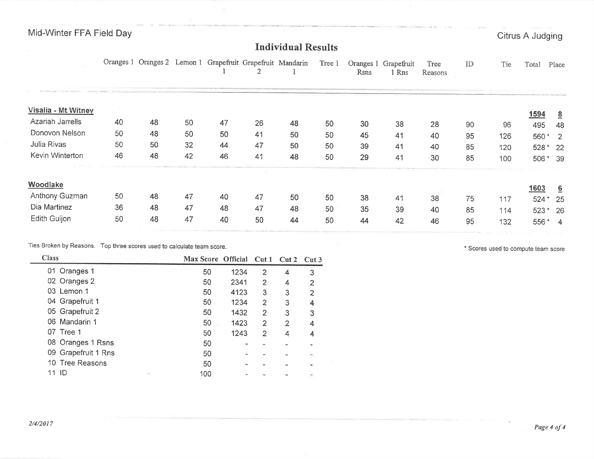#### Individual Results

|                     |    | Oranges 1 Oranges 2 Lemon 1 Grapefruit Grapefruit Mandarin |    |    |    |    | Tree 1 | Rsns | Oranges 1 Grapefruit<br>1 Rns | Tree<br>Reasons | ID | Tie | Total    | Place           |
|---------------------|----|------------------------------------------------------------|----|----|----|----|--------|------|-------------------------------|-----------------|----|-----|----------|-----------------|
| Visalia - Mt Witney |    |                                                            |    |    |    |    |        |      |                               |                 |    |     | 1594     | $\underline{8}$ |
| Azariah Jarrells    | 40 | 48                                                         | 50 | 47 | 26 | 48 | 50     | 30   | 38                            | 28              | 90 | 96  | 495      | 48              |
| Donovon Nelson      | 50 | 48                                                         | 50 | 50 | 41 | 50 | 50     | 45   | 41                            | 40              | 95 | 126 | $560*2$  |                 |
| Julia Rivas         | 50 | 50                                                         | 32 | 44 | 47 | 50 | 50     | 39   | 41                            | 40              | 85 | 120 | 528 * 22 |                 |
| Kevin Winterton     | 46 | 48                                                         | 42 | 46 | 41 | 48 | 50     | 29   | 41                            | 30              | 85 | 100 | 506 * 39 |                 |
| Woodlake            |    |                                                            |    |    |    |    |        |      |                               |                 |    |     | 1603     | 6               |
| Anthony Guzman      | 50 | 48                                                         | 47 | 40 | 47 | 50 | 50     | 38   | 41                            | 38              | 75 | 117 | $524*$   | - 25            |
| Dia Martinez        | 36 | 48                                                         | 47 | 48 | 47 | 48 | 50     | 35   | 39                            | 40              | 85 | 114 | 523 * 26 |                 |
| Edith Guijon        | 50 | 48                                                         | 47 | 40 | 50 | 44 | 50     | 44   | 42                            | 46              | 95 | 132 | 556*     | 4               |

Ties Broken by Reasons. Top three scores used to calculate team score.

\* Scores used to compute team score

| <b>Class</b>        | Max Score Official Cut 1 Cut 2 Cut 3 |      |                |                |   |
|---------------------|--------------------------------------|------|----------------|----------------|---|
| 01 Oranges 1        | 50                                   | 1234 | 2              | 4              | 3 |
| 02 Oranges 2        | 50                                   | 2341 | 2              | 4              | 2 |
| 03 Lemon 1          | 50                                   | 4123 | 3              | 3              | 2 |
| 04 Grapefruit 1     | 50                                   | 1234 | 2              | 3              | 4 |
| 05 Grapefruit 2     | 50                                   | 1432 | 2              | 3              | 3 |
| 06 Mandarin 1       | 50                                   | 1423 | $\overline{2}$ | $\overline{2}$ | 4 |
| 07 Tree 1           | 50                                   | 1243 | $\overline{2}$ | 4              | 4 |
| 08 Oranges 1 Rsns   | 50                                   | ٠    |                |                |   |
| 09 Grapefruit 1 Rns | 50                                   | 말    |                |                |   |
| 10 Tree Reasons     | 50                                   |      |                |                |   |
| ID<br>R             | 100                                  |      |                |                |   |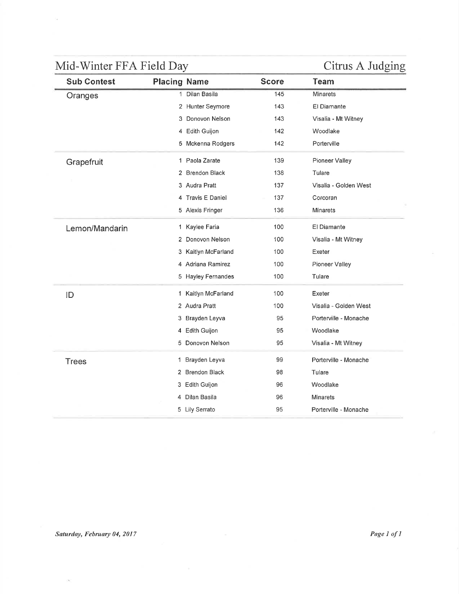G.

| <b>Sub Contest</b> | <b>Placing Name</b> |                      | <b>Score</b> | <b>Team</b>           |
|--------------------|---------------------|----------------------|--------------|-----------------------|
| Oranges            | $\mathbf{1}$        | Dilan Basila         | 145          | <b>Minarets</b>       |
|                    |                     | 2 Hunter Seymore     | 143          | <b>El Diamante</b>    |
|                    |                     | 3 Donovon Nelson     | 143          | Visalia - Mt Witney   |
|                    |                     | 4 Edith Guijon       | 142          | Woodlake              |
|                    |                     | 5 Mckenna Rodgers    | 142          | Porterville           |
| Grapefruit         |                     | 1 Paola Zarate       | 139          | Pioneer Valley        |
|                    |                     | 2 Brendon Black      | 138          | Tulare                |
|                    |                     | 3 Audra Pratt        | 137          | Visalia - Golden West |
|                    |                     | 4 Travis E Daniel    | 137          | Corcoran              |
|                    |                     | 5 Alexis Fringer     | 136          | <b>Minarets</b>       |
| Lemon/Mandarin     |                     | 1 Kaylee Faria       | 100          | El Diamante           |
|                    | 2                   | Donovon Nelson       | 100          | Visalia - Mt Witney   |
|                    |                     | 3 Kaitlyn McFarland  | 100          | Exeter                |
|                    |                     | 4 Adriana Ramirez    | 100          | Pioneer Valley        |
|                    |                     | 5 Hayley Fernandes   | 100          | Tulare                |
| ID                 |                     | 1 Kaitlyn McFarland  | 100          | Exeter                |
|                    |                     | 2 Audra Pratt        | 100          | Visalia - Golden West |
|                    | 3                   | Brayden Leyva        | 95           | Porterville - Monache |
|                    | 4                   | Edith Guijon         | 95           | Woodlake              |
|                    |                     | 5 Donovon Nelson     | 95           | Visalia - Mt Witney   |
| <b>Trees</b>       |                     | 1 Brayden Leyva      | 99           | Porterville - Monache |
|                    | 2                   | <b>Brendon Black</b> | 98           | Tulare                |
|                    |                     | 3 Edith Guijon       | 96           | Woodlake              |
|                    | 4                   | Dilan Basila         | 96           | <b>Minarets</b>       |
|                    |                     | 5 Lily Serrato       | 95           | Porterville - Monache |

 $\infty$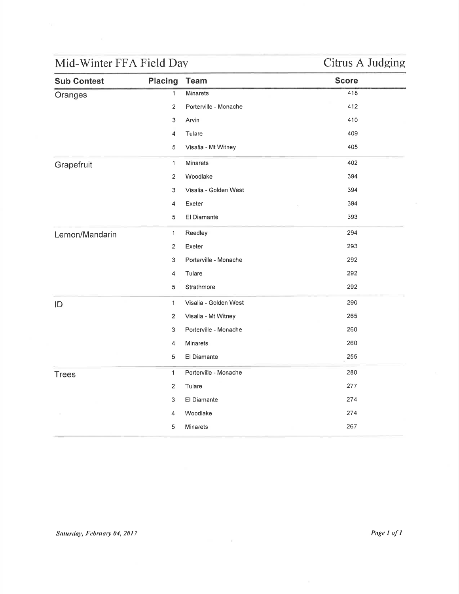| Oranges        | $\overline{1}$ | Minarets              | 418 |
|----------------|----------------|-----------------------|-----|
|                |                |                       |     |
|                | $\overline{2}$ | Porterville - Monache | 412 |
|                | $\mathfrak{S}$ | Arvin                 | 410 |
|                | 4              | Tulare                | 409 |
|                | 5              | Visalia - Mt Witney   | 405 |
| Grapefruit     | $\mathbf{1}$   | Minarets              | 402 |
|                | $\overline{2}$ | Woodlake              | 394 |
|                | 3              | Visalia - Golden West | 394 |
|                | 4              | Exeter                | 394 |
|                | 5              | El Diamante           | 393 |
| Lemon/Mandarin | $\mathbf{1}$   | Reedley               | 294 |
|                | $\overline{2}$ | Exeter                | 293 |
|                | 3              | Porterville - Monache | 292 |
|                | 4              | Tulare                | 292 |
|                | $\,$ 5 $\,$    | Strathmore            | 292 |
| ID             | $\mathbf{1}$   | Visalia - Golden West | 290 |
|                | $\overline{2}$ | Visalia - Mt Witney   | 265 |
|                | 3              | Porterville - Monache | 260 |
|                | 4              | Minarets              | 260 |
|                | 5              | El Diamante           | 255 |
| <b>Trees</b>   | $\mathbf{1}$   | Porterville - Monache | 280 |
|                | 2              | Tulare                | 277 |
|                | 3              | El Diamante           | 274 |
|                | 4              | Woodlake              | 274 |
|                | 5              | Minarets              | 267 |